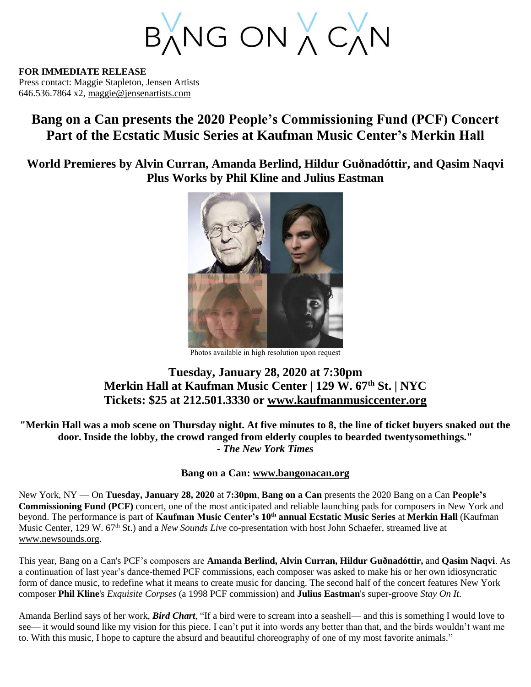BANG ON A CAN

**FOR IMMEDIATE RELEASE** Press contact: Maggie Stapleton, Jensen Artists 646.536.7864 x2, [maggie@jensenartists.com](mailto:maggie@jensenartists.com)

## **Bang on a Can presents the 2020 People's Commissioning Fund (PCF) Concert Part of the Ecstatic Music Series at Kaufman Music Center's Merkin Hall**

**World Premieres by Alvin Curran, Amanda Berlind, Hildur Guðnadóttir, and Qasim Naqvi Plus Works by Phil Kline and Julius Eastman**



Photos available in high resolution upon request

## **Tuesday, January 28, 2020 at 7:30pm Merkin Hall at Kaufman Music Center | 129 W. 67th St. | NYC Tickets: \$25 at 212.501.3330 or [www.kaufmanmusiccenter.org](https://www.kaufmanmusiccenter.org/mch/event/ecstatic-music-bang-on-a-can-peoples-commissioning-fund-concert/)**

**"Merkin Hall was a mob scene on Thursday night. At five minutes to 8, the line of ticket buyers snaked out the door. Inside the lobby, the crowd ranged from elderly couples to bearded twentysomethings."** *- The New York Times*

## **Bang on a Can: [www.bangonacan.org](http://www.bangonacan.org/)**

New York, NY — On **Tuesday, January 28, 2020** at **7:30pm**, **Bang on a Can** presents the 2020 Bang on a Can **People's Commissioning Fund (PCF)** concert, one of the most anticipated and reliable launching pads for composers in New York and beyond. The performance is part of **Kaufman Music Center's 10th annual Ecstatic Music Series** at **Merkin Hall** (Kaufman Music Center, 129 W. 67th St.) and a *New Sounds Live* co-presentation with host John Schaefer, streamed live at [www.newsounds.org.](http://www.newsounds.org/)

This year, Bang on a Can's PCF's composers are **Amanda Berlind, Alvin Curran, Hildur Guðnadóttir,** and **Qasim Naqvi**. As a continuation of last year's dance-themed PCF commissions, each composer was asked to make his or her own idiosyncratic form of dance music, to redefine what it means to create music for dancing. The second half of the concert features New York composer **Phil Kline**'s *Exquisite Corpses* (a 1998 PCF commission) and **Julius Eastman**'s super-groove *Stay On It*.

Amanda Berlind says of her work, *Bird Chart*, "If a bird were to scream into a seashell— and this is something I would love to see— it would sound like my vision for this piece. I can't put it into words any better than that, and the birds wouldn't want me to. With this music, I hope to capture the absurd and beautiful choreography of one of my most favorite animals."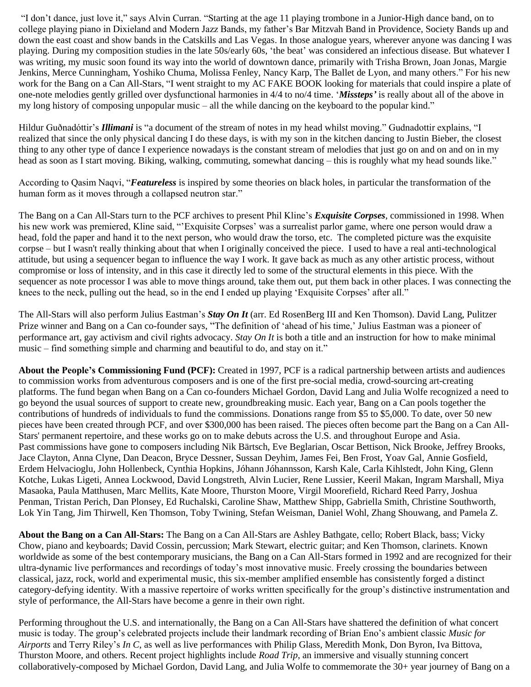"I don't dance, just love it," says Alvin Curran. "Starting at the age 11 playing trombone in a Junior-High dance band, on to college playing piano in Dixieland and Modern Jazz Bands, my father's Bar Mitzvah Band in Providence, Society Bands up and down the east coast and show bands in the Catskills and Las Vegas. In those analogue years, wherever anyone was dancing I was playing. During my composition studies in the late 50s/early 60s, 'the beat' was considered an infectious disease. But whatever I was writing, my music soon found its way into the world of downtown dance, primarily with Trisha Brown, Joan Jonas, Margie Jenkins, Merce Cunningham, Yoshiko Chuma, Molissa Fenley, Nancy Karp, The Ballet de Lyon, and many others." For his new work for the Bang on a Can All-Stars, "I went straight to my AC FAKE BOOK looking for materials that could inspire a plate of one-note melodies gently grilled over dysfunctional harmonies in 4/4 to no/4 time. '*Missteps'* is really about all of the above in my long history of composing unpopular music – all the while dancing on the keyboard to the popular kind."

Hildur Guðnadóttir's *Illimani* is "a document of the stream of notes in my head whilst moving." Gudnadottir explains, "I realized that since the only physical dancing I do these days, is with my son in the kitchen dancing to Justin Bieber, the closest thing to any other type of dance I experience nowadays is the constant stream of melodies that just go on and on and on in my head as soon as I start moving. Biking, walking, commuting, somewhat dancing – this is roughly what my head sounds like."

According to Qasim Naqvi, "*Featureless* is inspired by some theories on black holes, in particular the transformation of the human form as it moves through a collapsed neutron star."

The Bang on a Can All-Stars turn to the PCF archives to present Phil Kline's *Exquisite Corpses*, commissioned in 1998. When his new work was premiered, Kline said, "'Exquisite Corpses' was a surrealist parlor game, where one person would draw a head, fold the paper and hand it to the next person, who would draw the torso, etc. The completed picture was the exquisite corpse – but I wasn't really thinking about that when I originally conceived the piece. I used to have a real anti-technological attitude, but using a sequencer began to influence the way I work. It gave back as much as any other artistic process, without compromise or loss of intensity, and in this case it directly led to some of the structural elements in this piece. With the sequencer as note processor I was able to move things around, take them out, put them back in other places. I was connecting the knees to the neck, pulling out the head, so in the end I ended up playing 'Exquisite Corpses' after all."

The All-Stars will also perform Julius Eastman's *Stay On It* (arr. Ed RosenBerg III and Ken Thomson). David Lang, Pulitzer Prize winner and Bang on a Can co-founder says, "The definition of 'ahead of his time,' Julius Eastman was a pioneer of performance art, gay activism and civil rights advocacy. *Stay On It* is both a title and an instruction for how to make minimal music – find something simple and charming and beautiful to do, and stay on it."

**About the People's Commissioning Fund (PCF):** Created in 1997, PCF is a radical partnership between artists and audiences to commission works from adventurous composers and is one of the first pre-social media, crowd-sourcing art-creating platforms. The fund began when Bang on a Can co-founders Michael Gordon, David Lang and Julia Wolfe recognized a need to go beyond the usual sources of support to create new, groundbreaking music. Each year, Bang on a Can pools together the contributions of hundreds of individuals to fund the commissions. Donations range from \$5 to \$5,000. To date, over 50 new pieces have been created through PCF, and over \$300,000 has been raised. The pieces often become part the Bang on a Can All-Stars' permanent repertoire, and these works go on to make debuts across the U.S. and throughout Europe and Asia. Past commissions have gone to composers including Nik Bärtsch, Eve Beglarian, Oscar Bettison, Nick Brooke, Jeffrey Brooks, Jace Clayton, Anna Clyne, Dan Deacon, Bryce Dessner, Sussan Deyhim, James Fei, Ben Frost, Yoav Gal, Annie Gosfield, Erdem Helvacioglu, John Hollenbeck, Cynthia Hopkins, Jóhann Jóhannsson, Karsh Kale, Carla Kihlstedt, John King, Glenn Kotche, Lukas Ligeti, Annea Lockwood, David Longstreth, Alvin Lucier, Rene Lussier, Keeril Makan, Ingram Marshall, Miya Masaoka, Paula Matthusen, Marc Mellits, Kate Moore, Thurston Moore, Virgil Moorefield, Richard Reed Parry, Joshua Penman, Tristan Perich, Dan Plonsey, Ed Ruchalski, Caroline Shaw, Matthew Shipp, Gabriella Smith, Christine Southworth, Lok Yin Tang, Jim Thirwell, Ken Thomson, Toby Twining, Stefan Weisman, Daniel Wohl, Zhang Shouwang, and Pamela Z.

**About the Bang on a Can All-Stars:** The Bang on a Can All-Stars are Ashley Bathgate, cello; Robert Black, bass; Vicky Chow, piano and keyboards; David Cossin, percussion; Mark Stewart, electric guitar; and Ken Thomson, clarinets. Known worldwide as some of the best contemporary musicians, the Bang on a Can All-Stars formed in 1992 and are recognized for their ultra-dynamic live performances and recordings of today's most innovative music. Freely crossing the boundaries between classical, jazz, rock, world and experimental music, this six-member amplified ensemble has consistently forged a distinct category-defying identity. With a massive repertoire of works written specifically for the group's distinctive instrumentation and style of performance, the All-Stars have become a genre in their own right.

Performing throughout the U.S. and internationally, the Bang on a Can All-Stars have shattered the definition of what concert music is today. The group's celebrated projects include their landmark recording of Brian Eno's ambient classic *Music for Airports* and Terry Riley's *In C*, as well as live performances with Philip Glass, Meredith Monk, Don Byron, Iva Bittova, Thurston Moore, and others. Recent project highlights include *[Road Trip](https://bangonacan.org/staged_productions/road_trip)*, an immersive and visually stunning concert collaboratively-composed by Michael Gordon, David Lang, and Julia Wolfe to commemorate the 30+ year journey of Bang on a